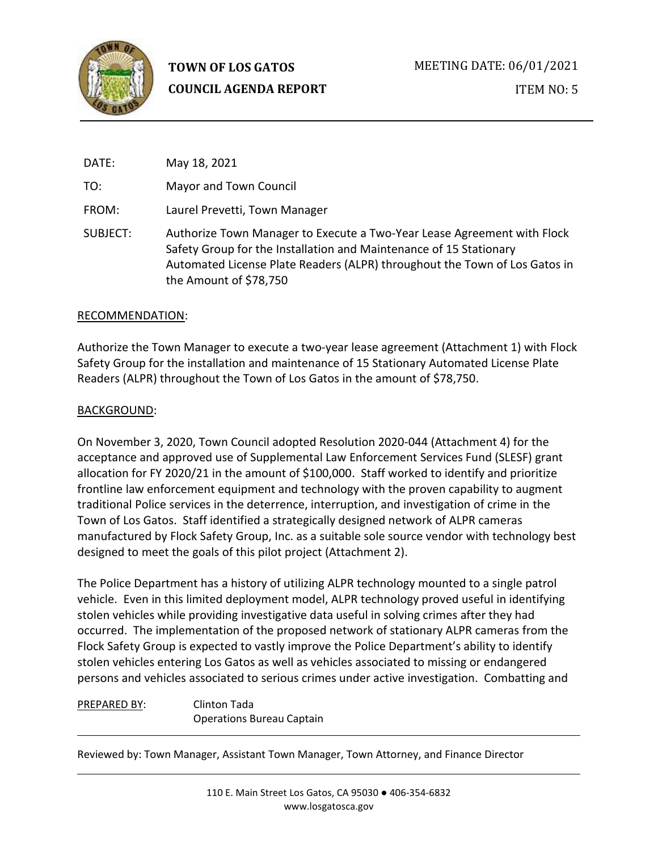

| DATE:    | May 18, 2021                                                                                                                                                                                                                                          |
|----------|-------------------------------------------------------------------------------------------------------------------------------------------------------------------------------------------------------------------------------------------------------|
| TO:      | Mayor and Town Council                                                                                                                                                                                                                                |
| FROM:    | Laurel Prevetti, Town Manager                                                                                                                                                                                                                         |
| SUBJECT: | Authorize Town Manager to Execute a Two-Year Lease Agreement with Flock<br>Safety Group for the Installation and Maintenance of 15 Stationary<br>Automated License Plate Readers (ALPR) throughout the Town of Los Gatos in<br>the Amount of \$78,750 |

#### RECOMMENDATION:

Authorize the Town Manager to execute a two-year lease agreement (Attachment 1) with Flock Safety Group for the installation and maintenance of 15 Stationary Automated License Plate Readers (ALPR) throughout the Town of Los Gatos in the amount of \$78,750.

#### BACKGROUND:

On November 3, 2020, Town Council adopted Resolution 2020-044 (Attachment 4) for the acceptance and approved use of Supplemental Law Enforcement Services Fund (SLESF) grant allocation for FY 2020/21 in the amount of \$100,000. Staff worked to identify and prioritize frontline law enforcement equipment and technology with the proven capability to augment traditional Police services in the deterrence, interruption, and investigation of crime in the Town of Los Gatos. Staff identified a strategically designed network of ALPR cameras manufactured by Flock Safety Group, Inc. as a suitable sole source vendor with technology best designed to meet the goals of this pilot project (Attachment 2).

The Police Department has a history of utilizing ALPR technology mounted to a single patrol vehicle. Even in this limited deployment model, ALPR technology proved useful in identifying stolen vehicles while providing investigative data useful in solving crimes after they had occurred. The implementation of the proposed network of stationary ALPR cameras from the Flock Safety Group is expected to vastly improve the Police Department's ability to identify stolen vehicles entering Los Gatos as well as vehicles associated to missing or endangered persons and vehicles associated to serious crimes under active investigation. Combatting and

#### PREPARED BY: Clinton Tada Operations Bureau Captain

Reviewed by: Town Manager, Assistant Town Manager, Town Attorney, and Finance Director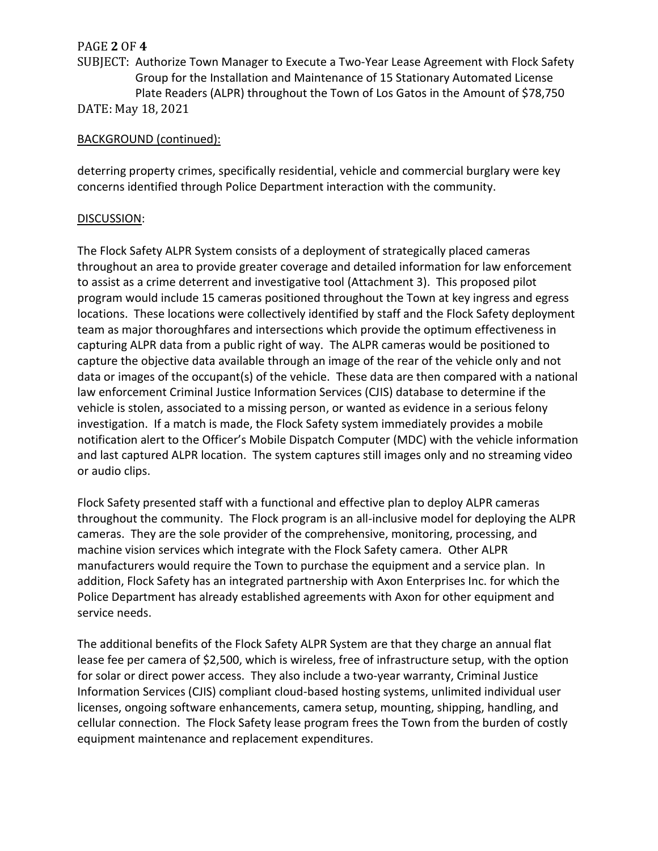# PAGE **2** OF **4**

SUBJECT: Authorize Town Manager to Execute a Two-Year Lease Agreement with Flock Safety Group for the Installation and Maintenance of 15 Stationary Automated License Plate Readers (ALPR) throughout the Town of Los Gatos in the Amount of \$78,750 DATE: May 18, 2021

## BACKGROUND (continued):

deterring property crimes, specifically residential, vehicle and commercial burglary were key concerns identified through Police Department interaction with the community.

## DISCUSSION:

The Flock Safety ALPR System consists of a deployment of strategically placed cameras throughout an area to provide greater coverage and detailed information for law enforcement to assist as a crime deterrent and investigative tool (Attachment 3). This proposed pilot program would include 15 cameras positioned throughout the Town at key ingress and egress locations. These locations were collectively identified by staff and the Flock Safety deployment team as major thoroughfares and intersections which provide the optimum effectiveness in capturing ALPR data from a public right of way. The ALPR cameras would be positioned to capture the objective data available through an image of the rear of the vehicle only and not data or images of the occupant(s) of the vehicle. These data are then compared with a national law enforcement Criminal Justice Information Services (CJIS) database to determine if the vehicle is stolen, associated to a missing person, or wanted as evidence in a serious felony investigation. If a match is made, the Flock Safety system immediately provides a mobile notification alert to the Officer's Mobile Dispatch Computer (MDC) with the vehicle information and last captured ALPR location. The system captures still images only and no streaming video or audio clips.

Flock Safety presented staff with a functional and effective plan to deploy ALPR cameras throughout the community. The Flock program is an all-inclusive model for deploying the ALPR cameras. They are the sole provider of the comprehensive, monitoring, processing, and machine vision services which integrate with the Flock Safety camera. Other ALPR manufacturers would require the Town to purchase the equipment and a service plan. In addition, Flock Safety has an integrated partnership with Axon Enterprises Inc. for which the Police Department has already established agreements with Axon for other equipment and service needs.

The additional benefits of the Flock Safety ALPR System are that they charge an annual flat lease fee per camera of \$2,500, which is wireless, free of infrastructure setup, with the option for solar or direct power access. They also include a two-year warranty, Criminal Justice Information Services (CJIS) compliant cloud-based hosting systems, unlimited individual user licenses, ongoing software enhancements, camera setup, mounting, shipping, handling, and cellular connection. The Flock Safety lease program frees the Town from the burden of costly equipment maintenance and replacement expenditures.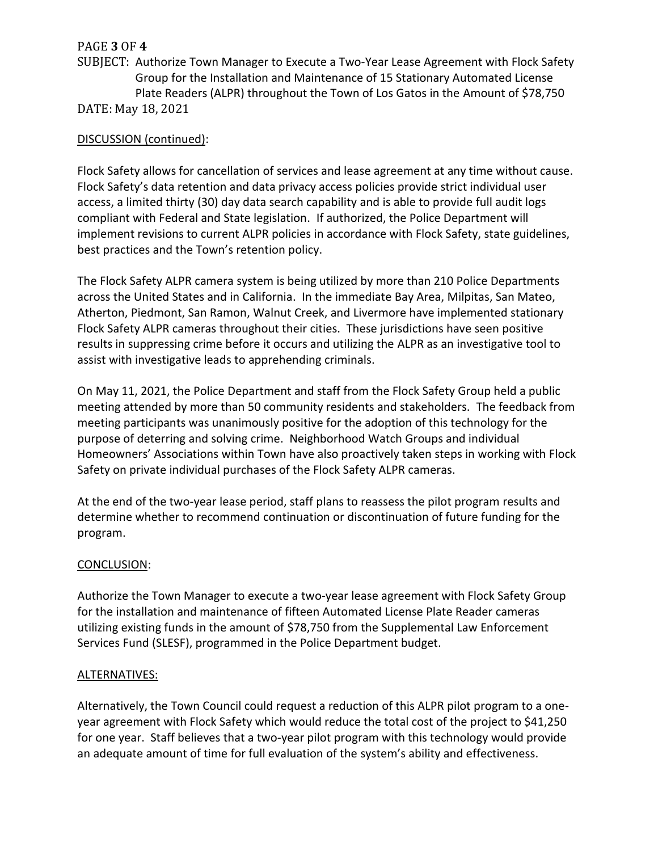# PAGE **3** OF **4**

SUBJECT: Authorize Town Manager to Execute a Two-Year Lease Agreement with Flock Safety Group for the Installation and Maintenance of 15 Stationary Automated License Plate Readers (ALPR) throughout the Town of Los Gatos in the Amount of \$78,750 DATE: May 18, 2021

## DISCUSSION (continued):

Flock Safety allows for cancellation of services and lease agreement at any time without cause. Flock Safety's data retention and data privacy access policies provide strict individual user access, a limited thirty (30) day data search capability and is able to provide full audit logs compliant with Federal and State legislation. If authorized, the Police Department will implement revisions to current ALPR policies in accordance with Flock Safety, state guidelines, best practices and the Town's retention policy.

The Flock Safety ALPR camera system is being utilized by more than 210 Police Departments across the United States and in California. In the immediate Bay Area, Milpitas, San Mateo, Atherton, Piedmont, San Ramon, Walnut Creek, and Livermore have implemented stationary Flock Safety ALPR cameras throughout their cities. These jurisdictions have seen positive results in suppressing crime before it occurs and utilizing the ALPR as an investigative tool to assist with investigative leads to apprehending criminals.

On May 11, 2021, the Police Department and staff from the Flock Safety Group held a public meeting attended by more than 50 community residents and stakeholders. The feedback from meeting participants was unanimously positive for the adoption of this technology for the purpose of deterring and solving crime. Neighborhood Watch Groups and individual Homeowners' Associations within Town have also proactively taken steps in working with Flock Safety on private individual purchases of the Flock Safety ALPR cameras.

At the end of the two-year lease period, staff plans to reassess the pilot program results and determine whether to recommend continuation or discontinuation of future funding for the program.

#### CONCLUSION:

Authorize the Town Manager to execute a two-year lease agreement with Flock Safety Group for the installation and maintenance of fifteen Automated License Plate Reader cameras utilizing existing funds in the amount of \$78,750 from the Supplemental Law Enforcement Services Fund (SLESF), programmed in the Police Department budget.

#### ALTERNATIVES:

Alternatively, the Town Council could request a reduction of this ALPR pilot program to a oneyear agreement with Flock Safety which would reduce the total cost of the project to \$41,250 for one year. Staff believes that a two-year pilot program with this technology would provide an adequate amount of time for full evaluation of the system's ability and effectiveness.